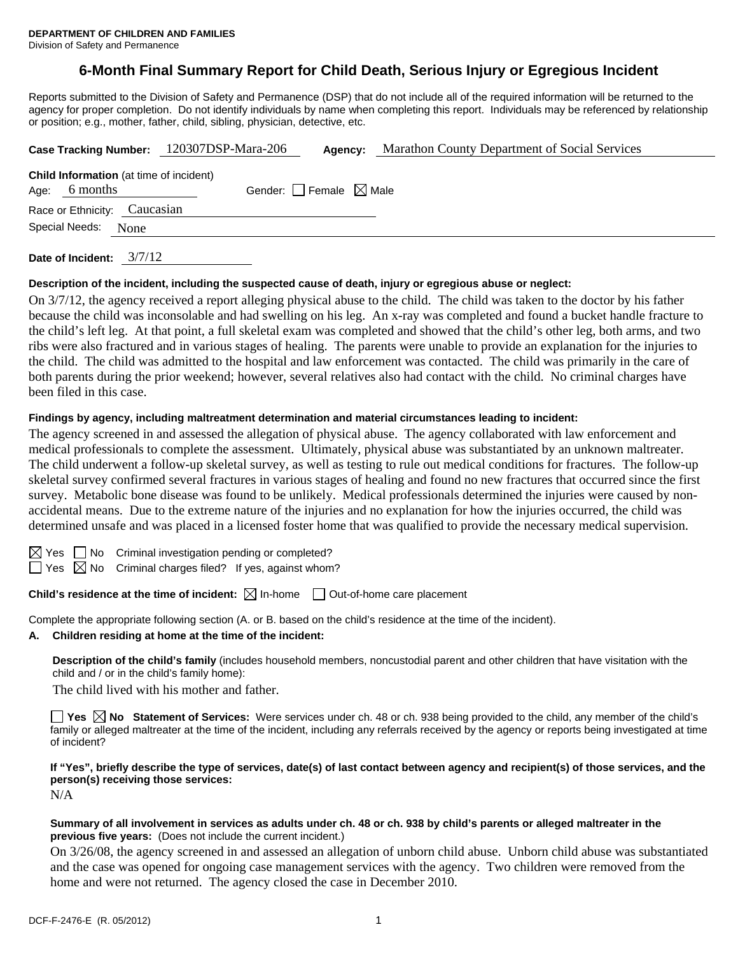# **6-Month Final Summary Report for Child Death, Serious Injury or Egregious Incident**

Reports submitted to the Division of Safety and Permanence (DSP) that do not include all of the required information will be returned to the agency for proper completion. Do not identify individuals by name when completing this report. Individuals may be referenced by relationship or position; e.g., mother, father, child, sibling, physician, detective, etc.

|                |                                                            | Case Tracking Number: 120307DSP-Mara-206 | Agency:                         | Marathon County Department of Social Services |
|----------------|------------------------------------------------------------|------------------------------------------|---------------------------------|-----------------------------------------------|
| Age:           | <b>Child Information</b> (at time of incident)<br>6 months |                                          | Gender: Female $\boxtimes$ Male |                                               |
|                | Race or Ethnicity: Caucasian                               |                                          |                                 |                                               |
| Special Needs: | None                                                       |                                          |                                 |                                               |
|                |                                                            |                                          |                                 |                                               |

**Date of Incident:** 3/7/12

#### **Description of the incident, including the suspected cause of death, injury or egregious abuse or neglect:**

On 3/7/12, the agency received a report alleging physical abuse to the child. The child was taken to the doctor by his father because the child was inconsolable and had swelling on his leg. An x-ray was completed and found a bucket handle fracture to the child's left leg. At that point, a full skeletal exam was completed and showed that the child's other leg, both arms, and two ribs were also fractured and in various stages of healing. The parents were unable to provide an explanation for the injuries to the child. The child was admitted to the hospital and law enforcement was contacted. The child was primarily in the care of both parents during the prior weekend; however, several relatives also had contact with the child. No criminal charges have been filed in this case.

#### **Findings by agency, including maltreatment determination and material circumstances leading to incident:**

The agency screened in and assessed the allegation of physical abuse. The agency collaborated with law enforcement and medical professionals to complete the assessment. Ultimately, physical abuse was substantiated by an unknown maltreater. The child underwent a follow-up skeletal survey, as well as testing to rule out medical conditions for fractures. The follow-up skeletal survey confirmed several fractures in various stages of healing and found no new fractures that occurred since the first survey. Metabolic bone disease was found to be unlikely. Medical professionals determined the injuries were caused by nonaccidental means. Due to the extreme nature of the injuries and no explanation for how the injuries occurred, the child was determined unsafe and was placed in a licensed foster home that was qualified to provide the necessary medical supervision.

 $S \cap M$ o Criminal investigation pending or completed?

 $\Box$  Yes  $\boxtimes$  No Criminal charges filed? If yes, against whom?

# **Child's residence at the time of incident:**  $\boxtimes$  In-home  $\Box$  Out-of-home care placement

Complete the appropriate following section (A. or B. based on the child's residence at the time of the incident).

**A. Children residing at home at the time of the incident:**

**Description of the child's family** (includes household members, noncustodial parent and other children that have visitation with the child and / or in the child's family home):

The child lived with his mother and father.

**Yes**  $\boxtimes$  **No** Statement of Services: Were services under ch. 48 or ch. 938 being provided to the child, any member of the child's family or alleged maltreater at the time of the incident, including any referrals received by the agency or reports being investigated at time of incident?

**If "Yes", briefly describe the type of services, date(s) of last contact between agency and recipient(s) of those services, and the person(s) receiving those services:** 

N/A

# **Summary of all involvement in services as adults under ch. 48 or ch. 938 by child's parents or alleged maltreater in the previous five years:** (Does not include the current incident.)

On 3/26/08, the agency screened in and assessed an allegation of unborn child abuse. Unborn child abuse was substantiated and the case was opened for ongoing case management services with the agency. Two children were removed from the home and were not returned. The agency closed the case in December 2010.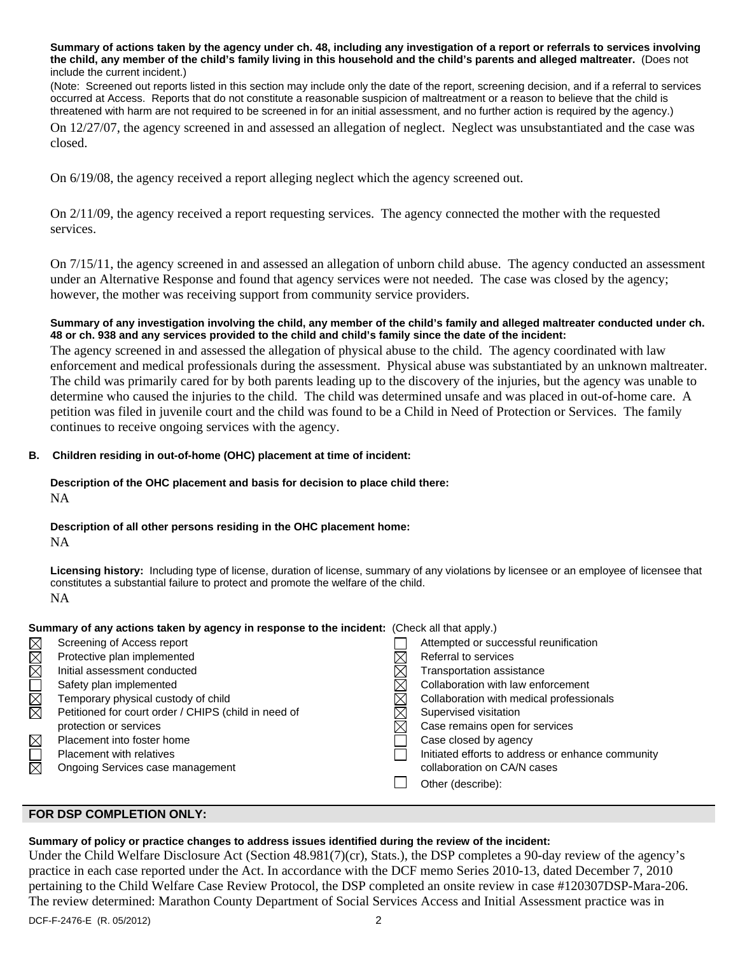**Summary of actions taken by the agency under ch. 48, including any investigation of a report or referrals to services involving the child, any member of the child's family living in this household and the child's parents and alleged maltreater.** (Does not include the current incident.)

(Note: Screened out reports listed in this section may include only the date of the report, screening decision, and if a referral to services occurred at Access. Reports that do not constitute a reasonable suspicion of maltreatment or a reason to believe that the child is threatened with harm are not required to be screened in for an initial assessment, and no further action is required by the agency.)

On 12/27/07, the agency screened in and assessed an allegation of neglect. Neglect was unsubstantiated and the case was closed.

On 6/19/08, the agency received a report alleging neglect which the agency screened out.

On 2/11/09, the agency received a report requesting services. The agency connected the mother with the requested services.

On 7/15/11, the agency screened in and assessed an allegation of unborn child abuse. The agency conducted an assessment under an Alternative Response and found that agency services were not needed. The case was closed by the agency; however, the mother was receiving support from community service providers.

### **Summary of any investigation involving the child, any member of the child's family and alleged maltreater conducted under ch. 48 or ch. 938 and any services provided to the child and child's family since the date of the incident:**

The agency screened in and assessed the allegation of physical abuse to the child. The agency coordinated with law enforcement and medical professionals during the assessment. Physical abuse was substantiated by an unknown maltreater. The child was primarily cared for by both parents leading up to the discovery of the injuries, but the agency was unable to determine who caused the injuries to the child. The child was determined unsafe and was placed in out-of-home care. A petition was filed in juvenile court and the child was found to be a Child in Need of Protection or Services. The family continues to receive ongoing services with the agency.

# **B. Children residing in out-of-home (OHC) placement at time of incident:**

# **Description of the OHC placement and basis for decision to place child there:**

NA

# **Description of all other persons residing in the OHC placement home:**

NA

**Licensing history:** Including type of license, duration of license, summary of any violations by licensee or an employee of licensee that constitutes a substantial failure to protect and promote the welfare of the child. NA

#### **Summary of any actions taken by agency in response to the incident:** (Check all that apply.)

|                         | Screening of Access report                           | Attempted or successful reunification             |
|-------------------------|------------------------------------------------------|---------------------------------------------------|
| MMOMMM                  | Protective plan implemented                          | Referral to services                              |
|                         | Initial assessment conducted                         | Transportation assistance                         |
|                         | Safety plan implemented                              | Collaboration with law enforcement                |
|                         | Temporary physical custody of child                  | Collaboration with medical professionals          |
|                         | Petitioned for court order / CHIPS (child in need of | Supervised visitation                             |
|                         | protection or services                               | Case remains open for services                    |
| $\boxtimes$             | Placement into foster home                           | Case closed by agency                             |
| $\overline{\mathbb{R}}$ | <b>Placement with relatives</b>                      | Initiated efforts to address or enhance community |
|                         | Ongoing Services case management                     | collaboration on CA/N cases                       |
|                         |                                                      | Other (describe):                                 |
|                         |                                                      |                                                   |

# **FOR DSP COMPLETION ONLY:**

#### **Summary of policy or practice changes to address issues identified during the review of the incident:**

Under the Child Welfare Disclosure Act (Section 48.981(7)(cr), Stats.), the DSP completes a 90-day review of the agency's practice in each case reported under the Act. In accordance with the DCF memo Series 2010-13, dated December 7, 2010 pertaining to the Child Welfare Case Review Protocol, the DSP completed an onsite review in case #120307DSP-Mara-206. The review determined: Marathon County Department of Social Services Access and Initial Assessment practice was in